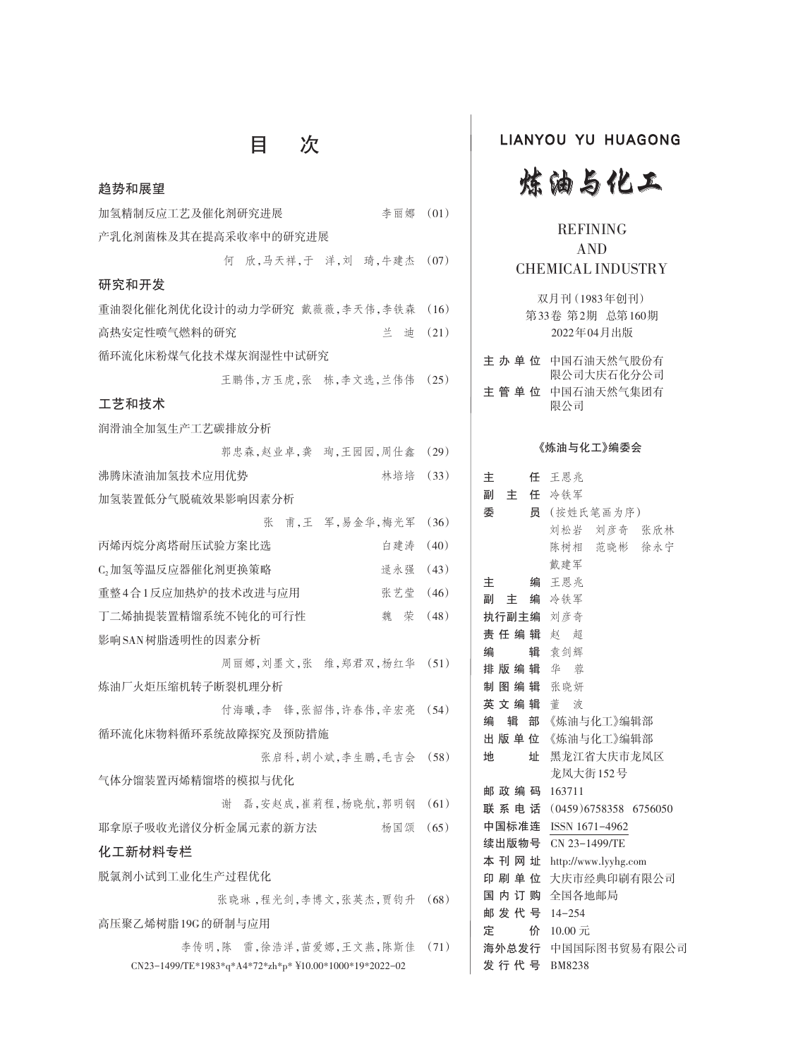# 目 次

| 趋势和展望                                                  |      |
|--------------------------------------------------------|------|
| 加氢精制反应工艺及催化剂研究进展<br>李丽娜                                | (01) |
| 产乳化剂菌株及其在提高采收率中的研究进展                                   |      |
| 欣,马天祥,于 洋,刘 琦,牛建杰<br>何                                 | (07) |
| 研究和开发                                                  |      |
| 重油裂化催化剂优化设计的动力学研究 戴薇薇,李天伟,李铁森                          | (16) |
| 高热安定性喷气燃料的研究<br>꼳<br>迪                                 | (21) |
| 循环流化床粉煤气化技术煤灰润湿性中试研究                                   |      |
| 王鹏伟,方玉虎,张 栋,李文选,兰伟伟                                    | (25) |
| 工艺和技术                                                  |      |
| 润滑油全加氢生产工艺碳排放分析                                        |      |
| 郭忠森,赵业卓,龚 珣,王园园,周仕鑫                                    | (29) |
| 沸腾床渣油加氢技术应用优势<br>林培培                                   | (33) |
| 加氢装置低分气脱硫效果影响因素分析                                      |      |
| 甫,王 军,易金华,梅光军<br>张                                     | (36) |
| 丙烯丙烷分离塔耐压试验方案比选<br>白建涛                                 | (40) |
| C <sub>2</sub> 加氢等温反应器催化剂更换策略<br>逯永强                   | (43) |
| 重整4合1反应加热炉的技术改进与应用<br>张艺莹                              | (46) |
| 丁二烯抽提装置精馏系统不钝化的可行性<br>魏 荣                              | (48) |
| 影响SAN树脂透明性的因素分析                                        |      |
| 周丽娜, 刘墨文, 张维, 郑君双, 杨红华                                 | (51) |
| 炼油厂火炬压缩机转子断裂机理分析                                       |      |
| 付海曦,李 锋,张韶伟,许春伟,辛宏亮                                    | (54) |
| 循环流化床物料循环系统故障探究及预防措施                                   |      |
| 张启科,胡小斌,李生鹏,毛吉会 (58)                                   |      |
| 气体分馏装置丙烯精馏塔的模拟与优化                                      |      |
| 磊,安赵成,崔莉程,杨晓航,郭明钢<br>谢                                 | (61) |
| 耶拿原子吸收光谱仪分析金属元素的新方法<br>杨国颂                             | (65) |
| 化工新材料专栏                                                |      |
| 脱氯剂小试到工业化生产过程优化                                        |      |
| 张晓琳,程光剑,李博文,张英杰,贾钧升                                    | (68) |
| 高压聚乙烯树脂19G的研制与应用                                       |      |
| 李传明,陈 雷,徐浩洋,苗爱娜,王文燕,陈斯佳                                | (71) |
| CN23-1499/TE*1983*q*A4*72*zh*p* ¥10.00*1000*19*2022-02 |      |

### LIANYOU YU HUAGONG



### REFINING AND CHEMICAL INDUSTRY

双月刊(1983年创刊) 第33卷 第2期 总第160期 2022年04月出版

| 主 办 单 位 中国石油天然气股份有<br>限公司大庆石化分公司 |
|----------------------------------|
| 主 管 单 位 中国石油天然气集团有<br>限公司        |

#### 《炼油与化工》编委会

| 主            | 任 王恩兆                   |
|--------------|-------------------------|
| 主 任 冷铁军<br>副 |                         |
| 委            | 员 (按姓氏笔画为序)             |
|              | 刘松岩 刘彦奇 张欣林             |
|              | 陈树相 范晓彬 徐永宁             |
|              | 戴建军                     |
| 主            | 编 王恩兆                   |
| 副 主 编 冷铁军    |                         |
| 执行副主编 刘彦奇    |                         |
| 责任编辑 赵 超     |                         |
| 编            | 辑 袁剑辉                   |
| 排 版 编 辑 华 紫  |                         |
| 制图编辑 张晓妍     |                         |
| 英文编辑 董波      |                         |
| 编            | 辑 部 《炼油与化工》编辑部          |
|              | 出 版 单 位 《炼油与化工》编辑部      |
| 地            | 址 黑龙江省大庆市龙凤区            |
|              | 龙凤大街152号                |
| 邮政编码 163711  |                         |
| 联 系 电 话      | $(0459)6758358$ 6756050 |
| 中国标准连        | ISSN 1671-4962          |
|              | 续出版物号 CN 23-1499/TE     |
| 本刊网址         | http://www.lyyhg.com    |
| 印 刷 单 位      | 大庆市经典印刷有限公司             |
|              | 国 内 订 购 全国各地邮局          |
| 邮发代号 14-254  |                         |
| 定            | 价 10.00元                |
|              | 海外总发行 中国国际图书贸易有限公司      |
| 发行代号 BM8238  |                         |